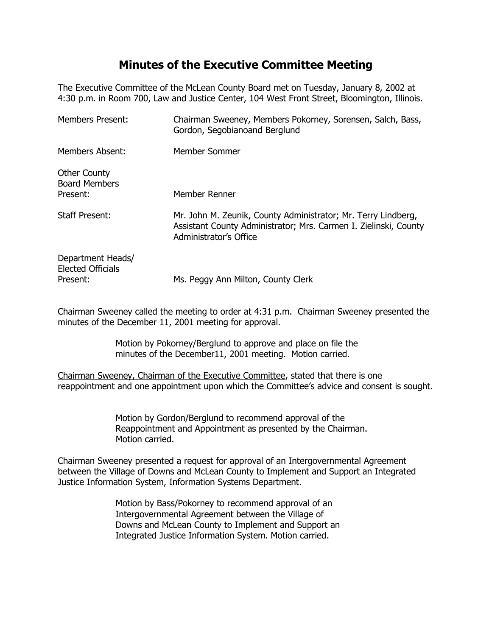## **Minutes of the Executive Committee Meeting**

The Executive Committee of the McLean County Board met on Tuesday, January 8, 2002 at 4:30 p.m. in Room 700, Law and Justice Center, 104 West Front Street, Bloomington, Illinois.

| <b>Members Present:</b>                                   | Chairman Sweeney, Members Pokorney, Sorensen, Salch, Bass,<br>Gordon, Segobianoand Berglund                                                                 |
|-----------------------------------------------------------|-------------------------------------------------------------------------------------------------------------------------------------------------------------|
| Members Absent:                                           | Member Sommer                                                                                                                                               |
| <b>Other County</b><br><b>Board Members</b><br>Present:   | Member Renner                                                                                                                                               |
| <b>Staff Present:</b>                                     | Mr. John M. Zeunik, County Administrator; Mr. Terry Lindberg,<br>Assistant County Administrator; Mrs. Carmen I. Zielinski, County<br>Administrator's Office |
| Department Heads/<br><b>Elected Officials</b><br>Present: | Ms. Peggy Ann Milton, County Clerk                                                                                                                          |

Chairman Sweeney called the meeting to order at 4:31 p.m. Chairman Sweeney presented the minutes of the December 11, 2001 meeting for approval.

> Motion by Pokorney/Berglund to approve and place on file the minutes of the December11, 2001 meeting. Motion carried.

Chairman Sweeney, Chairman of the Executive Committee, stated that there is one reappointment and one appointment upon which the Committee's advice and consent is sought.

> Motion by Gordon/Berglund to recommend approval of the Reappointment and Appointment as presented by the Chairman. Motion carried.

Chairman Sweeney presented a request for approval of an Intergovernmental Agreement between the Village of Downs and McLean County to Implement and Support an Integrated Justice Information System, Information Systems Department.

> Motion by Bass/Pokorney to recommend approval of an Intergovernmental Agreement between the Village of Downs and McLean County to Implement and Support an Integrated Justice Information System. Motion carried.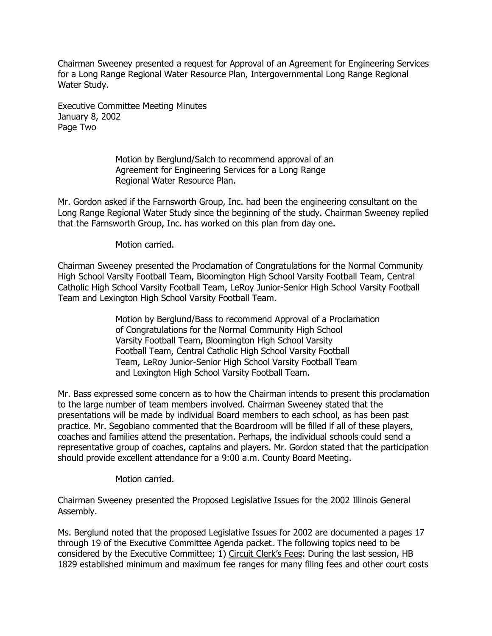Chairman Sweeney presented a request for Approval of an Agreement for Engineering Services for a Long Range Regional Water Resource Plan, Intergovernmental Long Range Regional Water Study.

Executive Committee Meeting Minutes January 8, 2002 Page Two

> Motion by Berglund/Salch to recommend approval of an Agreement for Engineering Services for a Long Range Regional Water Resource Plan.

Mr. Gordon asked if the Farnsworth Group, Inc. had been the engineering consultant on the Long Range Regional Water Study since the beginning of the study. Chairman Sweeney replied that the Farnsworth Group, Inc. has worked on this plan from day one.

Motion carried.

Chairman Sweeney presented the Proclamation of Congratulations for the Normal Community High School Varsity Football Team, Bloomington High School Varsity Football Team, Central Catholic High School Varsity Football Team, LeRoy Junior-Senior High School Varsity Football Team and Lexington High School Varsity Football Team.

> Motion by Berglund/Bass to recommend Approval of a Proclamation of Congratulations for the Normal Community High School Varsity Football Team, Bloomington High School Varsity Football Team, Central Catholic High School Varsity Football Team, LeRoy Junior-Senior High School Varsity Football Team and Lexington High School Varsity Football Team.

Mr. Bass expressed some concern as to how the Chairman intends to present this proclamation to the large number of team members involved. Chairman Sweeney stated that the presentations will be made by individual Board members to each school, as has been past practice. Mr. Segobiano commented that the Boardroom will be filled if all of these players, coaches and families attend the presentation. Perhaps, the individual schools could send a representative group of coaches, captains and players. Mr. Gordon stated that the participation should provide excellent attendance for a 9:00 a.m. County Board Meeting.

Motion carried.

Chairman Sweeney presented the Proposed Legislative Issues for the 2002 Illinois General Assembly.

Ms. Berglund noted that the proposed Legislative Issues for 2002 are documented a pages 17 through 19 of the Executive Committee Agenda packet. The following topics need to be considered by the Executive Committee; 1) Circuit Clerk's Fees: During the last session, HB 1829 established minimum and maximum fee ranges for many filing fees and other court costs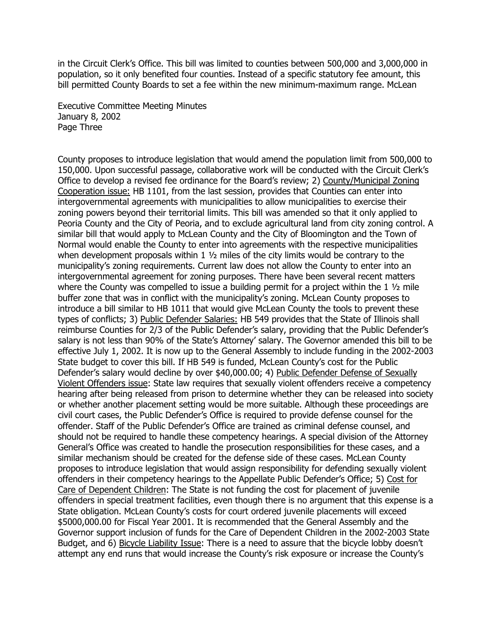in the Circuit Clerk's Office. This bill was limited to counties between 500,000 and 3,000,000 in population, so it only benefited four counties. Instead of a specific statutory fee amount, this bill permitted County Boards to set a fee within the new minimum-maximum range. McLean

Executive Committee Meeting Minutes January 8, 2002 Page Three

County proposes to introduce legislation that would amend the population limit from 500,000 to 150,000. Upon successful passage, collaborative work will be conducted with the Circuit Clerk's Office to develop a revised fee ordinance for the Board's review; 2) County/Municipal Zoning Cooperation issue: HB 1101, from the last session, provides that Counties can enter into intergovernmental agreements with municipalities to allow municipalities to exercise their zoning powers beyond their territorial limits. This bill was amended so that it only applied to Peoria County and the City of Peoria, and to exclude agricultural land from city zoning control. A similar bill that would apply to McLean County and the City of Bloomington and the Town of Normal would enable the County to enter into agreements with the respective municipalities when development proposals within 1  $\frac{1}{2}$  miles of the city limits would be contrary to the municipality's zoning requirements. Current law does not allow the County to enter into an intergovernmental agreement for zoning purposes. There have been several recent matters where the County was compelled to issue a building permit for a project within the 1  $\frac{1}{2}$  mile buffer zone that was in conflict with the municipality's zoning. McLean County proposes to introduce a bill similar to HB 1011 that would give McLean County the tools to prevent these types of conflicts; 3) Public Defender Salaries: HB 549 provides that the State of Illinois shall reimburse Counties for 2/3 of the Public Defender's salary, providing that the Public Defender's salary is not less than 90% of the State's Attorney' salary. The Governor amended this bill to be effective July 1, 2002. It is now up to the General Assembly to include funding in the 2002-2003 State budget to cover this bill. If HB 549 is funded, McLean County's cost for the Public Defender's salary would decline by over \$40,000.00; 4) Public Defender Defense of Sexually Violent Offenders issue: State law requires that sexually violent offenders receive a competency hearing after being released from prison to determine whether they can be released into society or whether another placement setting would be more suitable. Although these proceedings are civil court cases, the Public Defender's Office is required to provide defense counsel for the offender. Staff of the Public Defender's Office are trained as criminal defense counsel, and should not be required to handle these competency hearings. A special division of the Attorney General's Office was created to handle the prosecution responsibilities for these cases, and a similar mechanism should be created for the defense side of these cases. McLean County proposes to introduce legislation that would assign responsibility for defending sexually violent offenders in their competency hearings to the Appellate Public Defender's Office; 5) Cost for Care of Dependent Children: The State is not funding the cost for placement of juvenile offenders in special treatment facilities, even though there is no argument that this expense is a State obligation. McLean County's costs for court ordered juvenile placements will exceed \$5000,000.00 for Fiscal Year 2001. It is recommended that the General Assembly and the Governor support inclusion of funds for the Care of Dependent Children in the 2002-2003 State Budget, and 6) Bicycle Liability Issue: There is a need to assure that the bicycle lobby doesn't attempt any end runs that would increase the County's risk exposure or increase the County's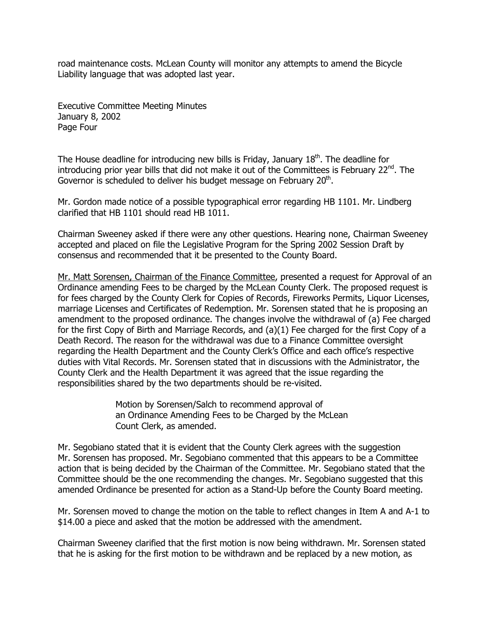road maintenance costs. McLean County will monitor any attempts to amend the Bicycle Liability language that was adopted last year.

Executive Committee Meeting Minutes January 8, 2002 Page Four

The House deadline for introducing new bills is Friday, January  $18<sup>th</sup>$ . The deadline for introducing prior year bills that did not make it out of the Committees is February  $22^{nd}$ . The Governor is scheduled to deliver his budget message on February 20<sup>th</sup>.

Mr. Gordon made notice of a possible typographical error regarding HB 1101. Mr. Lindberg clarified that HB 1101 should read HB 1011.

Chairman Sweeney asked if there were any other questions. Hearing none, Chairman Sweeney accepted and placed on file the Legislative Program for the Spring 2002 Session Draft by consensus and recommended that it be presented to the County Board.

Mr. Matt Sorensen, Chairman of the Finance Committee, presented a request for Approval of an Ordinance amending Fees to be charged by the McLean County Clerk. The proposed request is for fees charged by the County Clerk for Copies of Records, Fireworks Permits, Liquor Licenses, marriage Licenses and Certificates of Redemption. Mr. Sorensen stated that he is proposing an amendment to the proposed ordinance. The changes involve the withdrawal of (a) Fee charged for the first Copy of Birth and Marriage Records, and (a)(1) Fee charged for the first Copy of a Death Record. The reason for the withdrawal was due to a Finance Committee oversight regarding the Health Department and the County Clerk's Office and each office's respective duties with Vital Records. Mr. Sorensen stated that in discussions with the Administrator, the County Clerk and the Health Department it was agreed that the issue regarding the responsibilities shared by the two departments should be re-visited.

> Motion by Sorensen/Salch to recommend approval of an Ordinance Amending Fees to be Charged by the McLean Count Clerk, as amended.

Mr. Segobiano stated that it is evident that the County Clerk agrees with the suggestion Mr. Sorensen has proposed. Mr. Segobiano commented that this appears to be a Committee action that is being decided by the Chairman of the Committee. Mr. Segobiano stated that the Committee should be the one recommending the changes. Mr. Segobiano suggested that this amended Ordinance be presented for action as a Stand-Up before the County Board meeting.

Mr. Sorensen moved to change the motion on the table to reflect changes in Item A and A-1 to \$14.00 a piece and asked that the motion be addressed with the amendment.

Chairman Sweeney clarified that the first motion is now being withdrawn. Mr. Sorensen stated that he is asking for the first motion to be withdrawn and be replaced by a new motion, as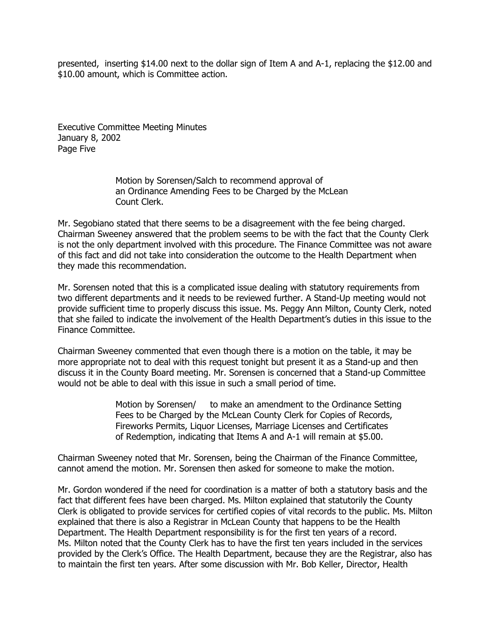presented, inserting \$14.00 next to the dollar sign of Item A and A-1, replacing the \$12.00 and \$10.00 amount, which is Committee action.

Executive Committee Meeting Minutes January 8, 2002 Page Five

> Motion by Sorensen/Salch to recommend approval of an Ordinance Amending Fees to be Charged by the McLean Count Clerk.

Mr. Segobiano stated that there seems to be a disagreement with the fee being charged. Chairman Sweeney answered that the problem seems to be with the fact that the County Clerk is not the only department involved with this procedure. The Finance Committee was not aware of this fact and did not take into consideration the outcome to the Health Department when they made this recommendation.

Mr. Sorensen noted that this is a complicated issue dealing with statutory requirements from two different departments and it needs to be reviewed further. A Stand-Up meeting would not provide sufficient time to properly discuss this issue. Ms. Peggy Ann Milton, County Clerk, noted that she failed to indicate the involvement of the Health Department's duties in this issue to the Finance Committee.

Chairman Sweeney commented that even though there is a motion on the table, it may be more appropriate not to deal with this request tonight but present it as a Stand-up and then discuss it in the County Board meeting. Mr. Sorensen is concerned that a Stand-up Committee would not be able to deal with this issue in such a small period of time.

> Motion by Sorensen/ to make an amendment to the Ordinance Setting Fees to be Charged by the McLean County Clerk for Copies of Records, Fireworks Permits, Liquor Licenses, Marriage Licenses and Certificates of Redemption, indicating that Items A and A-1 will remain at \$5.00.

Chairman Sweeney noted that Mr. Sorensen, being the Chairman of the Finance Committee, cannot amend the motion. Mr. Sorensen then asked for someone to make the motion.

Mr. Gordon wondered if the need for coordination is a matter of both a statutory basis and the fact that different fees have been charged. Ms. Milton explained that statutorily the County Clerk is obligated to provide services for certified copies of vital records to the public. Ms. Milton explained that there is also a Registrar in McLean County that happens to be the Health Department. The Health Department responsibility is for the first ten years of a record. Ms. Milton noted that the County Clerk has to have the first ten years included in the services provided by the Clerk's Office. The Health Department, because they are the Registrar, also has to maintain the first ten years. After some discussion with Mr. Bob Keller, Director, Health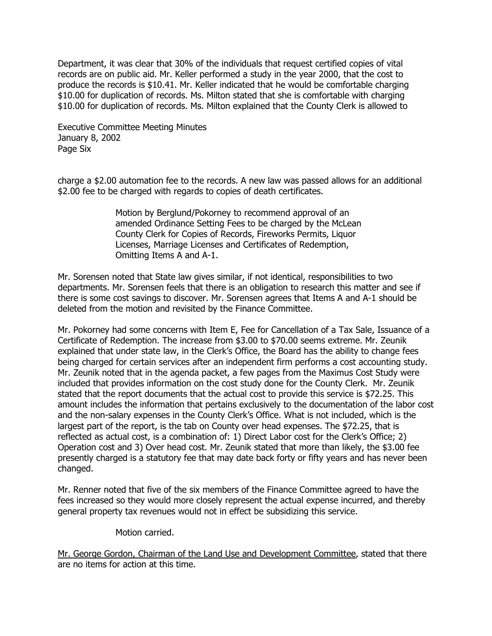Department, it was clear that 30% of the individuals that request certified copies of vital records are on public aid. Mr. Keller performed a study in the year 2000, that the cost to produce the records is \$10.41. Mr. Keller indicated that he would be comfortable charging \$10.00 for duplication of records. Ms. Milton stated that she is comfortable with charging \$10.00 for duplication of records. Ms. Milton explained that the County Clerk is allowed to

Executive Committee Meeting Minutes January 8, 2002 Page Six

charge a \$2.00 automation fee to the records. A new law was passed allows for an additional \$2.00 fee to be charged with regards to copies of death certificates.

> Motion by Berglund/Pokorney to recommend approval of an amended Ordinance Setting Fees to be charged by the McLean County Clerk for Copies of Records, Fireworks Permits, Liquor Licenses, Marriage Licenses and Certificates of Redemption, Omitting Items A and A-1.

Mr. Sorensen noted that State law gives similar, if not identical, responsibilities to two departments. Mr. Sorensen feels that there is an obligation to research this matter and see if there is some cost savings to discover. Mr. Sorensen agrees that Items A and A-1 should be deleted from the motion and revisited by the Finance Committee.

Mr. Pokorney had some concerns with Item E, Fee for Cancellation of a Tax Sale, Issuance of a Certificate of Redemption. The increase from \$3.00 to \$70.00 seems extreme. Mr. Zeunik explained that under state law, in the Clerk's Office, the Board has the ability to change fees being charged for certain services after an independent firm performs a cost accounting study. Mr. Zeunik noted that in the agenda packet, a few pages from the Maximus Cost Study were included that provides information on the cost study done for the County Clerk. Mr. Zeunik stated that the report documents that the actual cost to provide this service is \$72.25. This amount includes the information that pertains exclusively to the documentation of the labor cost and the non-salary expenses in the County Clerk's Office. What is not included, which is the largest part of the report, is the tab on County over head expenses. The \$72.25, that is reflected as actual cost, is a combination of: 1) Direct Labor cost for the Clerk's Office; 2) Operation cost and 3) Over head cost. Mr. Zeunik stated that more than likely, the \$3.00 fee presently charged is a statutory fee that may date back forty or fifty years and has never been changed.

Mr. Renner noted that five of the six members of the Finance Committee agreed to have the fees increased so they would more closely represent the actual expense incurred, and thereby general property tax revenues would not in effect be subsidizing this service.

Motion carried.

Mr. George Gordon, Chairman of the Land Use and Development Committee, stated that there are no items for action at this time.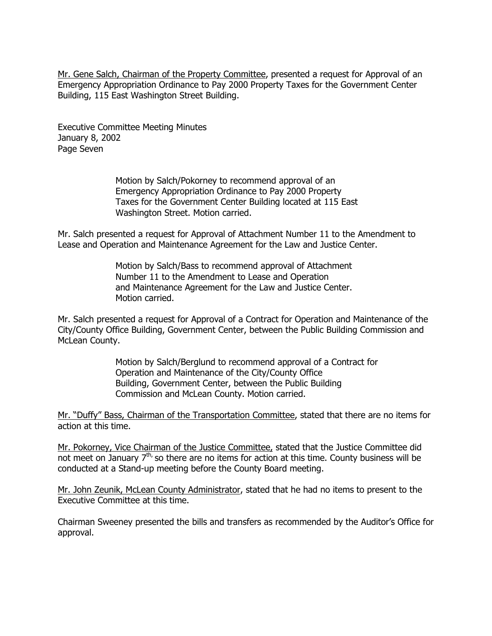Mr. Gene Salch, Chairman of the Property Committee, presented a request for Approval of an Emergency Appropriation Ordinance to Pay 2000 Property Taxes for the Government Center Building, 115 East Washington Street Building.

Executive Committee Meeting Minutes January 8, 2002 Page Seven

> Motion by Salch/Pokorney to recommend approval of an Emergency Appropriation Ordinance to Pay 2000 Property Taxes for the Government Center Building located at 115 East Washington Street. Motion carried.

Mr. Salch presented a request for Approval of Attachment Number 11 to the Amendment to Lease and Operation and Maintenance Agreement for the Law and Justice Center.

> Motion by Salch/Bass to recommend approval of Attachment Number 11 to the Amendment to Lease and Operation and Maintenance Agreement for the Law and Justice Center. Motion carried.

Mr. Salch presented a request for Approval of a Contract for Operation and Maintenance of the City/County Office Building, Government Center, between the Public Building Commission and McLean County.

> Motion by Salch/Berglund to recommend approval of a Contract for Operation and Maintenance of the City/County Office Building, Government Center, between the Public Building Commission and McLean County. Motion carried.

Mr. "Duffy" Bass, Chairman of the Transportation Committee, stated that there are no items for action at this time.

Mr. Pokorney, Vice Chairman of the Justice Committee, stated that the Justice Committee did not meet on January  $7<sup>th</sup>$ , so there are no items for action at this time. County business will be conducted at a Stand-up meeting before the County Board meeting.

Mr. John Zeunik, McLean County Administrator, stated that he had no items to present to the Executive Committee at this time.

Chairman Sweeney presented the bills and transfers as recommended by the Auditor's Office for approval.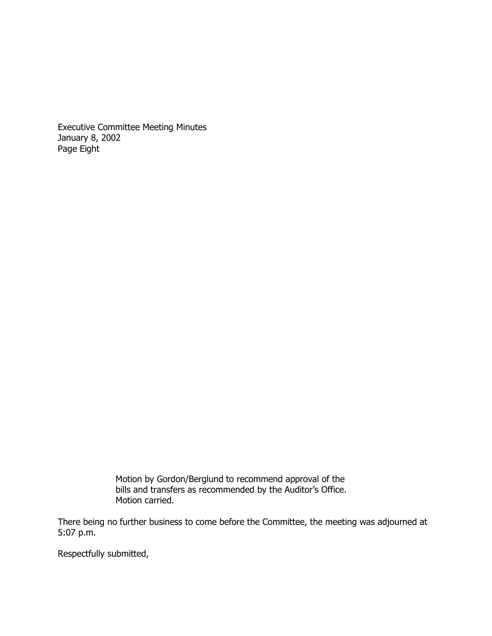Executive Committee Meeting Minutes January 8, 2002 Page Eight

> Motion by Gordon/Berglund to recommend approval of the bills and transfers as recommended by the Auditor's Office. Motion carried.

There being no further business to come before the Committee, the meeting was adjourned at 5:07 p.m.

Respectfully submitted,